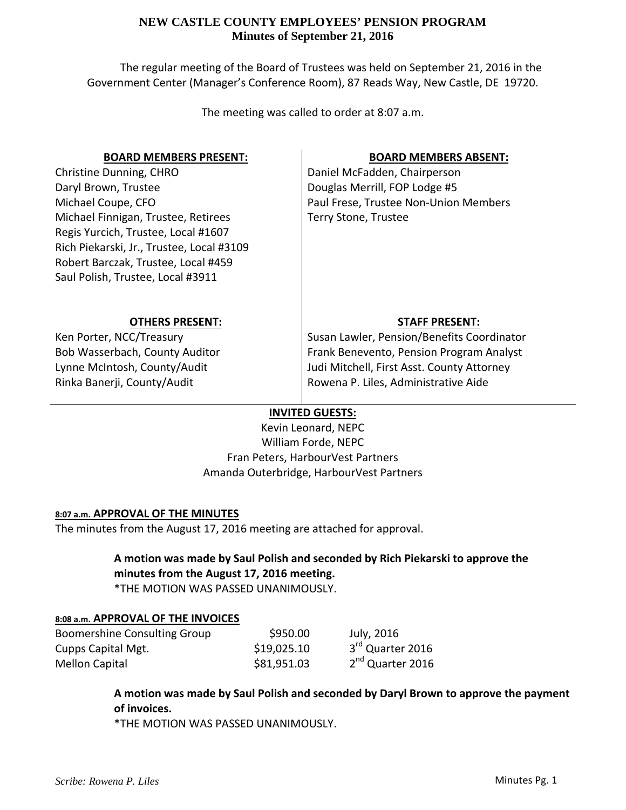The regular meeting of the Board of Trustees was held on September 21, 2016 in the Government Center (Manager's Conference Room), 87 Reads Way, New Castle, DE 19720.

The meeting was called to order at 8:07 a.m.

# **BOARD MEMBERS PRESENT:**

Christine Dunning, CHRO Daryl Brown, Trustee Michael Coupe, CFO Michael Finnigan, Trustee, Retirees Regis Yurcich, Trustee, Local #1607 Rich Piekarski, Jr., Trustee, Local #3109 Robert Barczak, Trustee, Local #459 Saul Polish, Trustee, Local #3911

# **BOARD MEMBERS ABSENT:**

Daniel McFadden, Chairperson Douglas Merrill, FOP Lodge #5 Paul Frese, Trustee Non‐Union Members Terry Stone, Trustee

# **OTHERS PRESENT:**

Ken Porter, NCC/Treasury Bob Wasserbach, County Auditor Lynne McIntosh, County/Audit Rinka Banerji, County/Audit

# **STAFF PRESENT:**

Susan Lawler, Pension/Benefits Coordinator Frank Benevento, Pension Program Analyst Judi Mitchell, First Asst. County Attorney Rowena P. Liles, Administrative Aide

# **INVITED GUESTS:**

Kevin Leonard, NEPC William Forde, NEPC Fran Peters, HarbourVest Partners Amanda Outerbridge, HarbourVest Partners

# **8:07 a.m. APPROVAL OF THE MINUTES**

The minutes from the August 17, 2016 meeting are attached for approval.

# **A motion was made by Saul Polish and seconded by Rich Piekarski to approve the minutes from the August 17, 2016 meeting.**

\*THE MOTION WAS PASSED UNANIMOUSLY.

# **8:08 a.m. APPROVAL OF THE INVOICES**

| Boomershine Consulting Group | \$950.00    | July, 2016                   |
|------------------------------|-------------|------------------------------|
| Cupps Capital Mgt.           | \$19,025.10 | 3 <sup>rd</sup> Quarter 2016 |
| Mellon Capital               | \$81,951.03 | 2 <sup>nd</sup> Quarter 2016 |

**A motion was made by Saul Polish and seconded by Daryl Brown to approve the payment of invoices.**

\*THE MOTION WAS PASSED UNANIMOUSLY.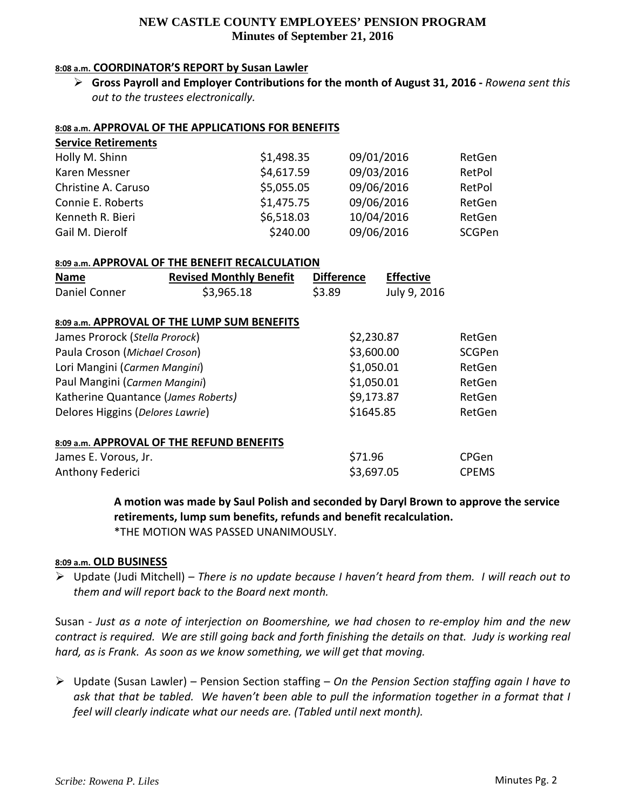### **8:08 a.m. COORDINATOR'S REPORT by Susan Lawler**

 **Gross Payroll and Employer Contributions for the month of August 31, 2016 ‐** *Rowena sent this out to the trustees electronically.*

#### **8:08 a.m. APPROVAL OF THE APPLICATIONS FOR BENEFITS**

| <b>Service Retirements</b> |            |            |        |
|----------------------------|------------|------------|--------|
| Holly M. Shinn             | \$1,498.35 | 09/01/2016 | RetGen |
| Karen Messner              | \$4,617.59 | 09/03/2016 | RetPol |
| Christine A. Caruso        | \$5,055.05 | 09/06/2016 | RetPol |
| Connie E. Roberts          | \$1,475.75 | 09/06/2016 | RetGen |
| Kenneth R. Bieri           | \$6,518.03 | 10/04/2016 | RetGen |
| Gail M. Dierolf            | \$240.00   | 09/06/2016 | SCGPen |

#### **8:09 a.m. APPROVAL OF THE BENEFIT RECALCULATION**

| <b>Name</b>   | <b>Revised Monthly Benefit</b> | <b>Difference</b> | <b>Effective</b> |
|---------------|--------------------------------|-------------------|------------------|
| Daniel Conner | \$3,965.18                     | \$3.89            | July 9, 2016     |

#### **8:09 a.m. APPROVAL OF THE LUMP SUM BENEFITS**

| James Prorock (Stella Prorock)            | \$2,230.87 | RetGen       |
|-------------------------------------------|------------|--------------|
| Paula Croson (Michael Croson)             | \$3,600.00 | SCGPen       |
| Lori Mangini (Carmen Mangini)             | \$1,050.01 | RetGen       |
| Paul Mangini (Carmen Mangini)             | \$1,050.01 | RetGen       |
| Katherine Quantance (James Roberts)       | \$9,173.87 | RetGen       |
| Delores Higgins (Delores Lawrie)          | \$1645.85  | RetGen       |
| 8:09 a.m. APPROVAL OF THE REFUND BENEFITS |            |              |
| James E. Vorous, Jr.                      | \$71.96    | CPGen        |
| Anthony Federici                          | \$3,697.05 | <b>CPEMS</b> |

**A motion was made by Saul Polish and seconded by Daryl Brown to approve the service retirements, lump sum benefits, refunds and benefit recalculation.**

\*THE MOTION WAS PASSED UNANIMOUSLY.

#### **8:09 a.m. OLD BUSINESS**

 Update (Judi Mitchell) – *There is no update because I haven't heard from them. I will reach out to them and will report back to the Board next month.* 

Susan - Just as a note of interjection on Boomershine, we had chosen to re-employ him and the new contract is required. We are still going back and forth finishing the details on that. Judy is working real *hard, as is Frank. As soon as we know something, we will get that moving.*

 Update (Susan Lawler) – Pension Section staffing – *On the Pension Section staffing again I have to* ask that that be tabled. We haven't been able to pull the information together in a format that I *feel will clearly indicate what our needs are. (Tabled until next month).*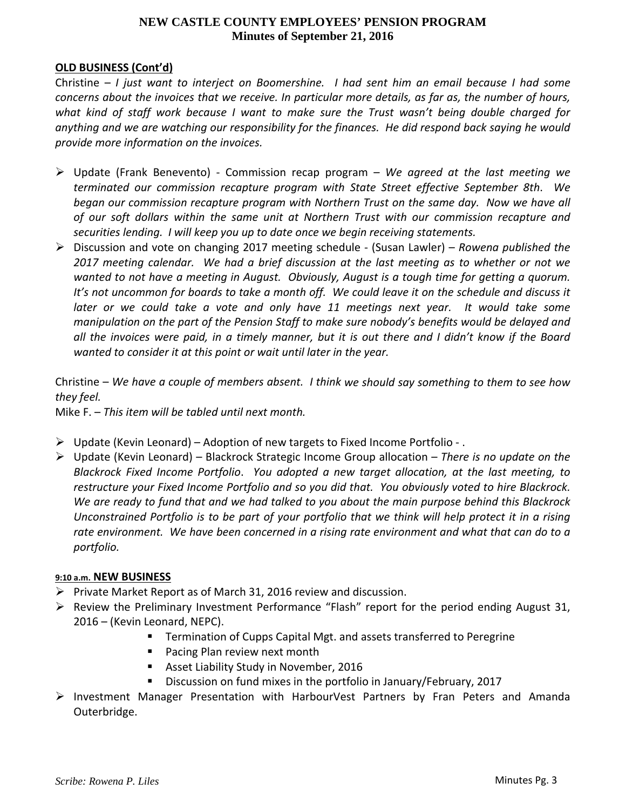## **OLD BUSINESS (Cont'd)**

Christine – *I just want to interject on Boomershine. I had sent him an email because I had some* concerns about the invoices that we receive. In particular more details, as far as, the number of hours, *what kind of staff work because I want to make sure the Trust wasn't being double charged for* anything and we are watching our responsibility for the finances. He did respond back saying he would *provide more information on the invoices.*

- Update (Frank Benevento) ‐ Commission recap program *We agreed at the last meeting we terminated our commission recapture program with State Street effective September 8th*. *We began our commission recapture program with Northern Trust on the same day. Now we have all of our soft dollars within the same unit at Northern Trust with our commission recapture and securities lending. I will keep you up to date once we begin receiving statements.*
- Discussion and vote on changing 2017 meeting schedule ‐ (Susan Lawler) *Rowena published the* 2017 meeting calendar. We had a brief discussion at the last meeting as to whether or not we wanted to not have a meeting in August. Obviously, August is a tough time for getting a quorum. It's not uncommon for boards to take a month off. We could leave it on the schedule and discuss it *later or we could take a vote and only have 11 meetings next year. It would take some manipulation on the part of the Pension Staff to make sure nobody's benefits would be delayed and* all the invoices were paid, in a timely manner, but it is out there and I didn't know if the Board *wanted to consider it at this point or wait until later in the year.*

Christine - We have a couple of members absent. I think we should say something to them to see how *they feel.*

Mike F. – *This item will be tabled until next month.*

- $\triangleright$  Update (Kevin Leonard) Adoption of new targets to Fixed Income Portfolio .
- Update (Kevin Leonard) Blackrock Strategic Income Group allocation *There is no update on the Blackrock Fixed Income Portfolio*. *You adopted a new target allocation, at the last meeting, to* restructure your Fixed Income Portfolio and so you did that. You obviously voted to hire Blackrock. We are ready to fund that and we had talked to you about the main purpose behind this Blackrock Unconstrained Portfolio is to be part of your portfolio that we think will help protect it in a rising rate environment. We have been concerned in a rising rate environment and what that can do to a *portfolio.*

#### **9:10 a.m. NEW BUSINESS**

- $\triangleright$  Private Market Report as of March 31, 2016 review and discussion.
- $\triangleright$  Review the Preliminary Investment Performance "Flash" report for the period ending August 31, 2016 – (Kevin Leonard, NEPC).
	- Termination of Cupps Capital Mgt. and assets transferred to Peregrine
	- **Pacing Plan review next month**
	- **Asset Liability Study in November, 2016**
	- **Discussion on fund mixes in the portfolio in January/February, 2017**
- $\triangleright$  Investment Manager Presentation with HarbourVest Partners by Fran Peters and Amanda Outerbridge.